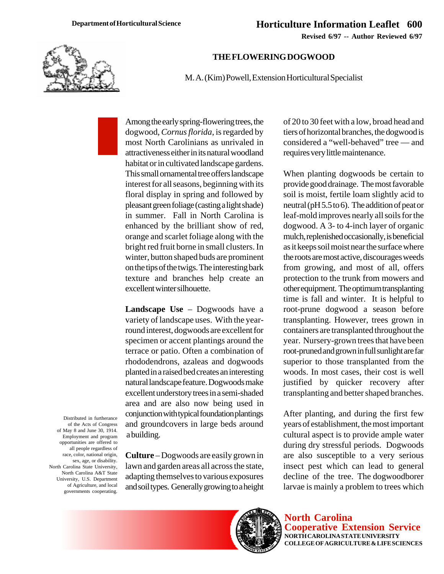**Revised 6/97 -- Author Reviewed 6/97**



## **THE FLOWERING DOGWOOD**

M. A. (Kim) Powell, Extension Horticultural Specialist

Among the early spring-flowering trees, the dogwood, *Cornus florida*, is regarded by most North Carolinians as unrivaled in attractiveness either in its natural woodland habitat or in cultivated landscape gardens. This small ornamental tree offers landscape interest for all seasons, beginning with its floral display in spring and followed by pleasant green foliage (casting a light shade) in summer. Fall in North Carolina is enhanced by the brilliant show of red, orange and scarlet foliage along with the bright red fruit borne in small clusters. In winter, button shaped buds are prominent on the tips of the twigs. The interesting bark texture and branches help create an excellent winter silhouette.

**Landscape Use** – Dogwoods have a variety of landscape uses. With the yearround interest, dogwoods are excellent for specimen or accent plantings around the terrace or patio. Often a combination of rhododendrons, azaleas and dogwoods planted in a raised bed creates an interesting natural landscape feature. Dogwoods make excellent understory trees in a semi-shaded area and are also now being used in conjunction with typical foundation plantings and groundcovers in large beds around a building.

Distributed in furtherance of the Acts of Congress of May 8 and June 30, 1914. Employment and program opportunities are offered to all people regardless of race, color, national origin, sex, age, or disability. North Carolina State University, North Carolina A&T State University, U.S. Department of Agriculture, and local governments cooperating.

**Culture** – Dogwoods are easily grown in lawn and garden areas all across the state, adapting themselves to various exposures and soil types. Generally growing to a height of 20 to 30 feet with a low, broad head and tiers of horizontal branches, the dogwood is considered a "well-behaved" tree — and requires very little maintenance.

When planting dogwoods be certain to provide good drainage. The most favorable soil is moist, fertile loam slightly acid to neutral (pH 5.5 to 6). The addition of peat or leaf-mold improves nearly all soils for the dogwood. A 3- to 4-inch layer of organic mulch, replenished occasionally, is beneficial as it keeps soil moist near the surface where the roots are most active, discourages weeds from growing, and most of all, offers protection to the trunk from mowers and other equipment. The optimum transplanting time is fall and winter. It is helpful to root-prune dogwood a season before transplanting. However, trees grown in containers are transplanted throughout the year. Nursery-grown trees that have been root-pruned and grown in full sunlight are far superior to those transplanted from the woods. In most cases, their cost is well justified by quicker recovery after transplanting and better shaped branches.

After planting, and during the first few years of establishment, the most important cultural aspect is to provide ample water during dry stressful periods. Dogwoods are also susceptible to a very serious insect pest which can lead to general decline of the tree. The dogwoodborer larvae is mainly a problem to trees which



**North Carolina Cooperative Extension Service NORTH CAROLINA STATE UNIVERSITY COLLEGE OF AGRICULTURE & LIFE SCIENCES**